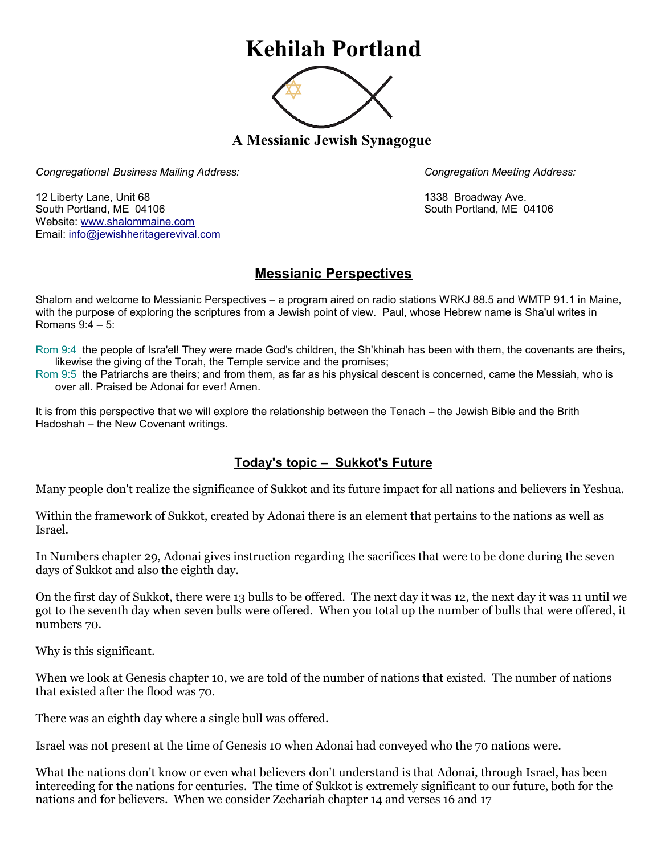## **Kehilah Portland**



**A Messianic Jewish Synagogue** 

*Congregational Business Mailing Address: Congregation Meeting Address:*

12 Liberty Lane, Unit 68 1338 Broadway Ave. South Portland, ME 04106 South Portland, ME 04106 Website: [www.shalommaine.com](http://www.shalommaine.com/) Email: [info@jewishheritagerevival.com](mailto:info@jewishheritagerevival.com) 

## **Messianic Perspectives**

Shalom and welcome to Messianic Perspectives – a program aired on radio stations WRKJ 88.5 and WMTP 91.1 in Maine, with the purpose of exploring the scriptures from a Jewish point of view. Paul, whose Hebrew name is Sha'ul writes in Romans 9:4 – 5:

Rom 9:4 the people of Isra'el! They were made God's children, the Sh'khinah has been with them, the covenants are theirs, likewise the giving of the Torah, the Temple service and the promises;

Rom 9:5 the Patriarchs are theirs; and from them, as far as his physical descent is concerned, came the Messiah, who is over all. Praised be Adonai for ever! Amen.

It is from this perspective that we will explore the relationship between the Tenach – the Jewish Bible and the Brith Hadoshah – the New Covenant writings.

## **Today's topic – Sukkot's Future**

Many people don't realize the significance of Sukkot and its future impact for all nations and believers in Yeshua.

Within the framework of Sukkot, created by Adonai there is an element that pertains to the nations as well as Israel.

In Numbers chapter 29, Adonai gives instruction regarding the sacrifices that were to be done during the seven days of Sukkot and also the eighth day.

On the first day of Sukkot, there were 13 bulls to be offered. The next day it was 12, the next day it was 11 until we got to the seventh day when seven bulls were offered. When you total up the number of bulls that were offered, it numbers 70.

Why is this significant.

When we look at Genesis chapter 10, we are told of the number of nations that existed. The number of nations that existed after the flood was 70.

There was an eighth day where a single bull was offered.

Israel was not present at the time of Genesis 10 when Adonai had conveyed who the 70 nations were.

What the nations don't know or even what believers don't understand is that Adonai, through Israel, has been interceding for the nations for centuries. The time of Sukkot is extremely significant to our future, both for the nations and for believers. When we consider Zechariah chapter 14 and verses 16 and 17